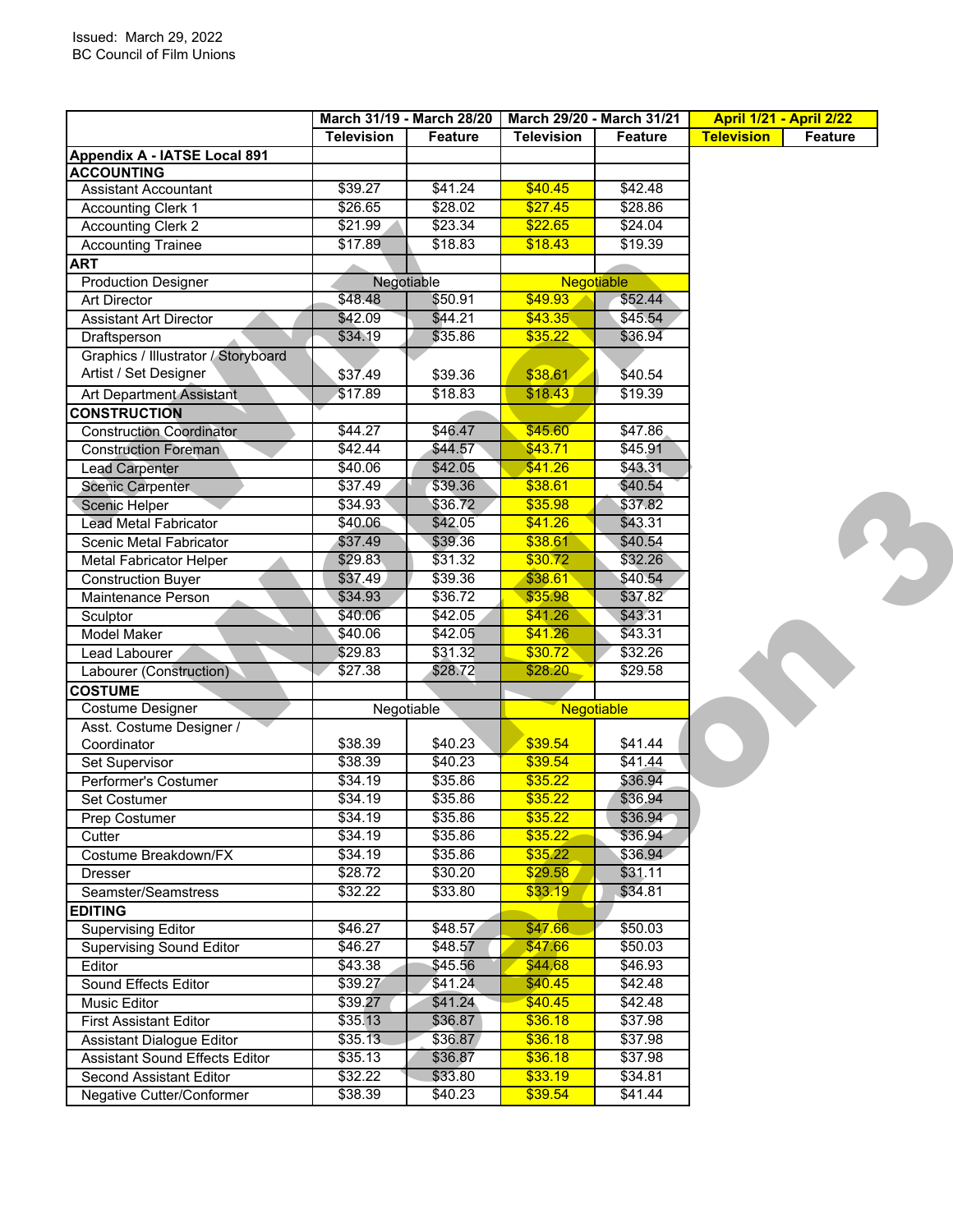| <b>Television</b><br>Feature<br><b>Television</b><br><b>Feature</b><br>Appendix A - IATSE Local 891<br>\$40.45<br>\$39.27<br>\$41.24<br>\$42.48<br>Assistant Accountant<br>\$26.65<br>\$27.45<br>\$28.02<br>\$28.86<br><b>Accounting Clerk 1</b><br>\$23.34<br>\$22.65<br>\$24.04<br><b>Accounting Clerk 2</b><br>\$21.99<br>\$18.83<br><b>Accounting Trainee</b><br>\$17.89<br>\$18.43<br>\$19.39<br><b>Negotiable</b><br><b>Production Designer</b><br>Negotiable<br>\$48.48<br>\$49.93<br>\$50.91<br>\$52.44<br>Art Director<br>\$44.21<br>\$43.35<br>\$45.54<br>\$42.09<br><b>Assistant Art Director</b><br>\$35.22<br>\$34.19<br>\$35.86<br>\$36.94<br>Draftsperson<br>Graphics / Illustrator / Storyboard<br>Artist / Set Designer<br>\$37.49<br>\$39.36<br>\$38.61<br>\$40.54<br>\$18.43<br>\$17.89<br>\$18.83<br>\$19.39<br>Art Department Assistant<br>\$45.60<br>\$44.27<br>\$46.47<br><b>Construction Coordinator</b><br>\$47.86<br>\$43.71<br>\$42.44<br>\$44.57<br>\$45.91<br><b>Construction Foreman</b><br>\$42.05<br>\$41.26<br>\$43.31<br>\$40.06<br><b>Lead Carpenter</b><br>\$39.36<br>\$38.61<br>\$40.54<br>\$37.49<br>Scenic Carpenter<br>\$37.82<br>\$36.72<br>\$35.98<br>\$34.93<br>Scenic Helper<br>\$43.31<br>\$40.06<br>\$42.05<br>\$41.26<br><b>Lead Metal Fabricator</b><br>\$39.36<br>\$40.54<br>\$37.49<br>\$38.61<br>Scenic Metal Fabricator<br>\$32.26<br>\$29.83<br>\$31.32<br>\$30.72<br><b>Metal Fabricator Helper</b><br>\$37.49<br>\$39.36<br>\$38.61<br>\$40.54<br><b>Construction Buyer</b><br>\$37.82<br>\$34.93<br>\$36.72<br>\$35.98<br>Maintenance Person<br>\$40.06<br>\$42.05<br>\$41.26<br>\$43.31<br>Sculptor<br>\$43.31<br>\$40.06<br>\$42.05<br>\$41.26<br>Model Maker<br>\$31.32<br>\$30.72<br>\$32.26<br>\$29.83<br>Lead Labourer<br>\$28.72<br>\$28.20<br>\$29.58<br>Labourer (Construction)<br>\$27.38<br><b>COSTUME</b><br>Costume Designer<br>Negotiable<br>Negotiable<br>Asst. Costume Designer /<br>\$39.54<br>\$40.23<br>\$41.44<br>\$38.39<br>Coordinator<br>\$39.54<br>\$40.23<br>\$41.44<br>Set Supervisor<br>\$38.39<br>\$35.22<br>\$34.19<br>\$35.86<br>\$36.94<br>Performer's Costumer<br>\$34.19<br>\$35.86<br>\$35.22<br>\$36.94<br>Set Costumer<br>$\sqrt{$34.19}$<br>\$35.86<br>\$35.22<br>\$36.94<br>Prep Costumer<br>\$34.19<br>\$35.22<br>\$35.86<br>\$36.94<br>Cutter<br>\$34.19<br>\$35.86<br>\$35.22<br>\$36.94<br>Costume Breakdown/FX<br>\$30.20<br>\$29.58<br>\$28.72<br>\$31.11<br><b>Dresser</b><br>\$32.22<br>\$33.80<br>\$33.19<br>\$34.81<br>Seamster/Seamstress<br><b>EDITING</b><br><b>Supervising Editor</b><br>\$46.27<br>\$47.66<br>\$48.57<br>\$50.03<br><b>Supervising Sound Editor</b><br>\$46.27<br>\$48.57<br>\$47.66<br>\$50.03<br>\$43.38<br>\$45.56<br>\$44,68<br>\$46.93<br>Editor<br>Sound Effects Editor<br>\$39.27<br>\$41.24<br>\$40.45<br>\$42.48<br><b>Music Editor</b><br>\$39.27<br>\$41.24<br>\$40.45<br>\$42.48<br>\$35.13<br>\$36.87<br>\$36.18<br>\$37.98<br><b>First Assistant Editor</b><br>\$35.13<br>Assistant Dialogue Editor<br>\$36.87<br>\$36.18<br>\$37.98<br><b>Assistant Sound Effects Editor</b><br>\$35.13<br>\$36.87<br>\$36.18<br>\$37.98<br>\$32.22<br>\$33.80<br>\$33.19<br>\$34.81<br>Second Assistant Editor<br>\$39.54<br>Negative Cutter/Conformer<br>\$38.39<br>\$40.23<br>\$41.44 |                     | March 31/19 - March 28/20 |  | March 29/20 - March 31/21 |  | <b>April 1/21 - April 2/22</b> |                   |
|----------------------------------------------------------------------------------------------------------------------------------------------------------------------------------------------------------------------------------------------------------------------------------------------------------------------------------------------------------------------------------------------------------------------------------------------------------------------------------------------------------------------------------------------------------------------------------------------------------------------------------------------------------------------------------------------------------------------------------------------------------------------------------------------------------------------------------------------------------------------------------------------------------------------------------------------------------------------------------------------------------------------------------------------------------------------------------------------------------------------------------------------------------------------------------------------------------------------------------------------------------------------------------------------------------------------------------------------------------------------------------------------------------------------------------------------------------------------------------------------------------------------------------------------------------------------------------------------------------------------------------------------------------------------------------------------------------------------------------------------------------------------------------------------------------------------------------------------------------------------------------------------------------------------------------------------------------------------------------------------------------------------------------------------------------------------------------------------------------------------------------------------------------------------------------------------------------------------------------------------------------------------------------------------------------------------------------------------------------------------------------------------------------------------------------------------------------------------------------------------------------------------------------------------------------------------------------------------------------------------------------------------------------------------------------------------------------------------------------------------------------------------------------------------------------------------------------------------------------------------------------------------------------------------------------------------------------------------------------------------------------------------------------------------------------------------------------------------------------------------------------------------------------------------------------------------------------------------------------------------------------------------------------------------------------------------|---------------------|---------------------------|--|---------------------------|--|--------------------------------|-------------------|
|                                                                                                                                                                                                                                                                                                                                                                                                                                                                                                                                                                                                                                                                                                                                                                                                                                                                                                                                                                                                                                                                                                                                                                                                                                                                                                                                                                                                                                                                                                                                                                                                                                                                                                                                                                                                                                                                                                                                                                                                                                                                                                                                                                                                                                                                                                                                                                                                                                                                                                                                                                                                                                                                                                                                                                                                                                                                                                                                                                                                                                                                                                                                                                                                                                                                                                                      |                     |                           |  |                           |  |                                | <b>Television</b> |
|                                                                                                                                                                                                                                                                                                                                                                                                                                                                                                                                                                                                                                                                                                                                                                                                                                                                                                                                                                                                                                                                                                                                                                                                                                                                                                                                                                                                                                                                                                                                                                                                                                                                                                                                                                                                                                                                                                                                                                                                                                                                                                                                                                                                                                                                                                                                                                                                                                                                                                                                                                                                                                                                                                                                                                                                                                                                                                                                                                                                                                                                                                                                                                                                                                                                                                                      |                     |                           |  |                           |  |                                |                   |
|                                                                                                                                                                                                                                                                                                                                                                                                                                                                                                                                                                                                                                                                                                                                                                                                                                                                                                                                                                                                                                                                                                                                                                                                                                                                                                                                                                                                                                                                                                                                                                                                                                                                                                                                                                                                                                                                                                                                                                                                                                                                                                                                                                                                                                                                                                                                                                                                                                                                                                                                                                                                                                                                                                                                                                                                                                                                                                                                                                                                                                                                                                                                                                                                                                                                                                                      | <b>ACCOUNTING</b>   |                           |  |                           |  |                                |                   |
|                                                                                                                                                                                                                                                                                                                                                                                                                                                                                                                                                                                                                                                                                                                                                                                                                                                                                                                                                                                                                                                                                                                                                                                                                                                                                                                                                                                                                                                                                                                                                                                                                                                                                                                                                                                                                                                                                                                                                                                                                                                                                                                                                                                                                                                                                                                                                                                                                                                                                                                                                                                                                                                                                                                                                                                                                                                                                                                                                                                                                                                                                                                                                                                                                                                                                                                      |                     |                           |  |                           |  |                                |                   |
|                                                                                                                                                                                                                                                                                                                                                                                                                                                                                                                                                                                                                                                                                                                                                                                                                                                                                                                                                                                                                                                                                                                                                                                                                                                                                                                                                                                                                                                                                                                                                                                                                                                                                                                                                                                                                                                                                                                                                                                                                                                                                                                                                                                                                                                                                                                                                                                                                                                                                                                                                                                                                                                                                                                                                                                                                                                                                                                                                                                                                                                                                                                                                                                                                                                                                                                      |                     |                           |  |                           |  |                                |                   |
|                                                                                                                                                                                                                                                                                                                                                                                                                                                                                                                                                                                                                                                                                                                                                                                                                                                                                                                                                                                                                                                                                                                                                                                                                                                                                                                                                                                                                                                                                                                                                                                                                                                                                                                                                                                                                                                                                                                                                                                                                                                                                                                                                                                                                                                                                                                                                                                                                                                                                                                                                                                                                                                                                                                                                                                                                                                                                                                                                                                                                                                                                                                                                                                                                                                                                                                      |                     |                           |  |                           |  |                                |                   |
|                                                                                                                                                                                                                                                                                                                                                                                                                                                                                                                                                                                                                                                                                                                                                                                                                                                                                                                                                                                                                                                                                                                                                                                                                                                                                                                                                                                                                                                                                                                                                                                                                                                                                                                                                                                                                                                                                                                                                                                                                                                                                                                                                                                                                                                                                                                                                                                                                                                                                                                                                                                                                                                                                                                                                                                                                                                                                                                                                                                                                                                                                                                                                                                                                                                                                                                      |                     |                           |  |                           |  |                                |                   |
|                                                                                                                                                                                                                                                                                                                                                                                                                                                                                                                                                                                                                                                                                                                                                                                                                                                                                                                                                                                                                                                                                                                                                                                                                                                                                                                                                                                                                                                                                                                                                                                                                                                                                                                                                                                                                                                                                                                                                                                                                                                                                                                                                                                                                                                                                                                                                                                                                                                                                                                                                                                                                                                                                                                                                                                                                                                                                                                                                                                                                                                                                                                                                                                                                                                                                                                      | <b>ART</b>          |                           |  |                           |  |                                |                   |
|                                                                                                                                                                                                                                                                                                                                                                                                                                                                                                                                                                                                                                                                                                                                                                                                                                                                                                                                                                                                                                                                                                                                                                                                                                                                                                                                                                                                                                                                                                                                                                                                                                                                                                                                                                                                                                                                                                                                                                                                                                                                                                                                                                                                                                                                                                                                                                                                                                                                                                                                                                                                                                                                                                                                                                                                                                                                                                                                                                                                                                                                                                                                                                                                                                                                                                                      |                     |                           |  |                           |  |                                |                   |
|                                                                                                                                                                                                                                                                                                                                                                                                                                                                                                                                                                                                                                                                                                                                                                                                                                                                                                                                                                                                                                                                                                                                                                                                                                                                                                                                                                                                                                                                                                                                                                                                                                                                                                                                                                                                                                                                                                                                                                                                                                                                                                                                                                                                                                                                                                                                                                                                                                                                                                                                                                                                                                                                                                                                                                                                                                                                                                                                                                                                                                                                                                                                                                                                                                                                                                                      |                     |                           |  |                           |  |                                |                   |
|                                                                                                                                                                                                                                                                                                                                                                                                                                                                                                                                                                                                                                                                                                                                                                                                                                                                                                                                                                                                                                                                                                                                                                                                                                                                                                                                                                                                                                                                                                                                                                                                                                                                                                                                                                                                                                                                                                                                                                                                                                                                                                                                                                                                                                                                                                                                                                                                                                                                                                                                                                                                                                                                                                                                                                                                                                                                                                                                                                                                                                                                                                                                                                                                                                                                                                                      |                     |                           |  |                           |  |                                |                   |
|                                                                                                                                                                                                                                                                                                                                                                                                                                                                                                                                                                                                                                                                                                                                                                                                                                                                                                                                                                                                                                                                                                                                                                                                                                                                                                                                                                                                                                                                                                                                                                                                                                                                                                                                                                                                                                                                                                                                                                                                                                                                                                                                                                                                                                                                                                                                                                                                                                                                                                                                                                                                                                                                                                                                                                                                                                                                                                                                                                                                                                                                                                                                                                                                                                                                                                                      |                     |                           |  |                           |  |                                |                   |
|                                                                                                                                                                                                                                                                                                                                                                                                                                                                                                                                                                                                                                                                                                                                                                                                                                                                                                                                                                                                                                                                                                                                                                                                                                                                                                                                                                                                                                                                                                                                                                                                                                                                                                                                                                                                                                                                                                                                                                                                                                                                                                                                                                                                                                                                                                                                                                                                                                                                                                                                                                                                                                                                                                                                                                                                                                                                                                                                                                                                                                                                                                                                                                                                                                                                                                                      |                     |                           |  |                           |  |                                |                   |
|                                                                                                                                                                                                                                                                                                                                                                                                                                                                                                                                                                                                                                                                                                                                                                                                                                                                                                                                                                                                                                                                                                                                                                                                                                                                                                                                                                                                                                                                                                                                                                                                                                                                                                                                                                                                                                                                                                                                                                                                                                                                                                                                                                                                                                                                                                                                                                                                                                                                                                                                                                                                                                                                                                                                                                                                                                                                                                                                                                                                                                                                                                                                                                                                                                                                                                                      |                     |                           |  |                           |  |                                |                   |
|                                                                                                                                                                                                                                                                                                                                                                                                                                                                                                                                                                                                                                                                                                                                                                                                                                                                                                                                                                                                                                                                                                                                                                                                                                                                                                                                                                                                                                                                                                                                                                                                                                                                                                                                                                                                                                                                                                                                                                                                                                                                                                                                                                                                                                                                                                                                                                                                                                                                                                                                                                                                                                                                                                                                                                                                                                                                                                                                                                                                                                                                                                                                                                                                                                                                                                                      |                     |                           |  |                           |  |                                |                   |
|                                                                                                                                                                                                                                                                                                                                                                                                                                                                                                                                                                                                                                                                                                                                                                                                                                                                                                                                                                                                                                                                                                                                                                                                                                                                                                                                                                                                                                                                                                                                                                                                                                                                                                                                                                                                                                                                                                                                                                                                                                                                                                                                                                                                                                                                                                                                                                                                                                                                                                                                                                                                                                                                                                                                                                                                                                                                                                                                                                                                                                                                                                                                                                                                                                                                                                                      | <b>CONSTRUCTION</b> |                           |  |                           |  |                                |                   |
|                                                                                                                                                                                                                                                                                                                                                                                                                                                                                                                                                                                                                                                                                                                                                                                                                                                                                                                                                                                                                                                                                                                                                                                                                                                                                                                                                                                                                                                                                                                                                                                                                                                                                                                                                                                                                                                                                                                                                                                                                                                                                                                                                                                                                                                                                                                                                                                                                                                                                                                                                                                                                                                                                                                                                                                                                                                                                                                                                                                                                                                                                                                                                                                                                                                                                                                      |                     |                           |  |                           |  |                                |                   |
|                                                                                                                                                                                                                                                                                                                                                                                                                                                                                                                                                                                                                                                                                                                                                                                                                                                                                                                                                                                                                                                                                                                                                                                                                                                                                                                                                                                                                                                                                                                                                                                                                                                                                                                                                                                                                                                                                                                                                                                                                                                                                                                                                                                                                                                                                                                                                                                                                                                                                                                                                                                                                                                                                                                                                                                                                                                                                                                                                                                                                                                                                                                                                                                                                                                                                                                      |                     |                           |  |                           |  |                                |                   |
|                                                                                                                                                                                                                                                                                                                                                                                                                                                                                                                                                                                                                                                                                                                                                                                                                                                                                                                                                                                                                                                                                                                                                                                                                                                                                                                                                                                                                                                                                                                                                                                                                                                                                                                                                                                                                                                                                                                                                                                                                                                                                                                                                                                                                                                                                                                                                                                                                                                                                                                                                                                                                                                                                                                                                                                                                                                                                                                                                                                                                                                                                                                                                                                                                                                                                                                      |                     |                           |  |                           |  |                                |                   |
|                                                                                                                                                                                                                                                                                                                                                                                                                                                                                                                                                                                                                                                                                                                                                                                                                                                                                                                                                                                                                                                                                                                                                                                                                                                                                                                                                                                                                                                                                                                                                                                                                                                                                                                                                                                                                                                                                                                                                                                                                                                                                                                                                                                                                                                                                                                                                                                                                                                                                                                                                                                                                                                                                                                                                                                                                                                                                                                                                                                                                                                                                                                                                                                                                                                                                                                      |                     |                           |  |                           |  |                                |                   |
|                                                                                                                                                                                                                                                                                                                                                                                                                                                                                                                                                                                                                                                                                                                                                                                                                                                                                                                                                                                                                                                                                                                                                                                                                                                                                                                                                                                                                                                                                                                                                                                                                                                                                                                                                                                                                                                                                                                                                                                                                                                                                                                                                                                                                                                                                                                                                                                                                                                                                                                                                                                                                                                                                                                                                                                                                                                                                                                                                                                                                                                                                                                                                                                                                                                                                                                      |                     |                           |  |                           |  |                                |                   |
|                                                                                                                                                                                                                                                                                                                                                                                                                                                                                                                                                                                                                                                                                                                                                                                                                                                                                                                                                                                                                                                                                                                                                                                                                                                                                                                                                                                                                                                                                                                                                                                                                                                                                                                                                                                                                                                                                                                                                                                                                                                                                                                                                                                                                                                                                                                                                                                                                                                                                                                                                                                                                                                                                                                                                                                                                                                                                                                                                                                                                                                                                                                                                                                                                                                                                                                      |                     |                           |  |                           |  |                                |                   |
|                                                                                                                                                                                                                                                                                                                                                                                                                                                                                                                                                                                                                                                                                                                                                                                                                                                                                                                                                                                                                                                                                                                                                                                                                                                                                                                                                                                                                                                                                                                                                                                                                                                                                                                                                                                                                                                                                                                                                                                                                                                                                                                                                                                                                                                                                                                                                                                                                                                                                                                                                                                                                                                                                                                                                                                                                                                                                                                                                                                                                                                                                                                                                                                                                                                                                                                      |                     |                           |  |                           |  |                                |                   |
|                                                                                                                                                                                                                                                                                                                                                                                                                                                                                                                                                                                                                                                                                                                                                                                                                                                                                                                                                                                                                                                                                                                                                                                                                                                                                                                                                                                                                                                                                                                                                                                                                                                                                                                                                                                                                                                                                                                                                                                                                                                                                                                                                                                                                                                                                                                                                                                                                                                                                                                                                                                                                                                                                                                                                                                                                                                                                                                                                                                                                                                                                                                                                                                                                                                                                                                      |                     |                           |  |                           |  |                                |                   |
|                                                                                                                                                                                                                                                                                                                                                                                                                                                                                                                                                                                                                                                                                                                                                                                                                                                                                                                                                                                                                                                                                                                                                                                                                                                                                                                                                                                                                                                                                                                                                                                                                                                                                                                                                                                                                                                                                                                                                                                                                                                                                                                                                                                                                                                                                                                                                                                                                                                                                                                                                                                                                                                                                                                                                                                                                                                                                                                                                                                                                                                                                                                                                                                                                                                                                                                      |                     |                           |  |                           |  |                                |                   |
|                                                                                                                                                                                                                                                                                                                                                                                                                                                                                                                                                                                                                                                                                                                                                                                                                                                                                                                                                                                                                                                                                                                                                                                                                                                                                                                                                                                                                                                                                                                                                                                                                                                                                                                                                                                                                                                                                                                                                                                                                                                                                                                                                                                                                                                                                                                                                                                                                                                                                                                                                                                                                                                                                                                                                                                                                                                                                                                                                                                                                                                                                                                                                                                                                                                                                                                      |                     |                           |  |                           |  |                                |                   |
|                                                                                                                                                                                                                                                                                                                                                                                                                                                                                                                                                                                                                                                                                                                                                                                                                                                                                                                                                                                                                                                                                                                                                                                                                                                                                                                                                                                                                                                                                                                                                                                                                                                                                                                                                                                                                                                                                                                                                                                                                                                                                                                                                                                                                                                                                                                                                                                                                                                                                                                                                                                                                                                                                                                                                                                                                                                                                                                                                                                                                                                                                                                                                                                                                                                                                                                      |                     |                           |  |                           |  |                                |                   |
|                                                                                                                                                                                                                                                                                                                                                                                                                                                                                                                                                                                                                                                                                                                                                                                                                                                                                                                                                                                                                                                                                                                                                                                                                                                                                                                                                                                                                                                                                                                                                                                                                                                                                                                                                                                                                                                                                                                                                                                                                                                                                                                                                                                                                                                                                                                                                                                                                                                                                                                                                                                                                                                                                                                                                                                                                                                                                                                                                                                                                                                                                                                                                                                                                                                                                                                      |                     |                           |  |                           |  |                                |                   |
|                                                                                                                                                                                                                                                                                                                                                                                                                                                                                                                                                                                                                                                                                                                                                                                                                                                                                                                                                                                                                                                                                                                                                                                                                                                                                                                                                                                                                                                                                                                                                                                                                                                                                                                                                                                                                                                                                                                                                                                                                                                                                                                                                                                                                                                                                                                                                                                                                                                                                                                                                                                                                                                                                                                                                                                                                                                                                                                                                                                                                                                                                                                                                                                                                                                                                                                      |                     |                           |  |                           |  |                                |                   |
|                                                                                                                                                                                                                                                                                                                                                                                                                                                                                                                                                                                                                                                                                                                                                                                                                                                                                                                                                                                                                                                                                                                                                                                                                                                                                                                                                                                                                                                                                                                                                                                                                                                                                                                                                                                                                                                                                                                                                                                                                                                                                                                                                                                                                                                                                                                                                                                                                                                                                                                                                                                                                                                                                                                                                                                                                                                                                                                                                                                                                                                                                                                                                                                                                                                                                                                      |                     |                           |  |                           |  |                                |                   |
|                                                                                                                                                                                                                                                                                                                                                                                                                                                                                                                                                                                                                                                                                                                                                                                                                                                                                                                                                                                                                                                                                                                                                                                                                                                                                                                                                                                                                                                                                                                                                                                                                                                                                                                                                                                                                                                                                                                                                                                                                                                                                                                                                                                                                                                                                                                                                                                                                                                                                                                                                                                                                                                                                                                                                                                                                                                                                                                                                                                                                                                                                                                                                                                                                                                                                                                      |                     |                           |  |                           |  |                                |                   |
|                                                                                                                                                                                                                                                                                                                                                                                                                                                                                                                                                                                                                                                                                                                                                                                                                                                                                                                                                                                                                                                                                                                                                                                                                                                                                                                                                                                                                                                                                                                                                                                                                                                                                                                                                                                                                                                                                                                                                                                                                                                                                                                                                                                                                                                                                                                                                                                                                                                                                                                                                                                                                                                                                                                                                                                                                                                                                                                                                                                                                                                                                                                                                                                                                                                                                                                      |                     |                           |  |                           |  |                                |                   |
|                                                                                                                                                                                                                                                                                                                                                                                                                                                                                                                                                                                                                                                                                                                                                                                                                                                                                                                                                                                                                                                                                                                                                                                                                                                                                                                                                                                                                                                                                                                                                                                                                                                                                                                                                                                                                                                                                                                                                                                                                                                                                                                                                                                                                                                                                                                                                                                                                                                                                                                                                                                                                                                                                                                                                                                                                                                                                                                                                                                                                                                                                                                                                                                                                                                                                                                      |                     |                           |  |                           |  |                                |                   |
|                                                                                                                                                                                                                                                                                                                                                                                                                                                                                                                                                                                                                                                                                                                                                                                                                                                                                                                                                                                                                                                                                                                                                                                                                                                                                                                                                                                                                                                                                                                                                                                                                                                                                                                                                                                                                                                                                                                                                                                                                                                                                                                                                                                                                                                                                                                                                                                                                                                                                                                                                                                                                                                                                                                                                                                                                                                                                                                                                                                                                                                                                                                                                                                                                                                                                                                      |                     |                           |  |                           |  |                                |                   |
|                                                                                                                                                                                                                                                                                                                                                                                                                                                                                                                                                                                                                                                                                                                                                                                                                                                                                                                                                                                                                                                                                                                                                                                                                                                                                                                                                                                                                                                                                                                                                                                                                                                                                                                                                                                                                                                                                                                                                                                                                                                                                                                                                                                                                                                                                                                                                                                                                                                                                                                                                                                                                                                                                                                                                                                                                                                                                                                                                                                                                                                                                                                                                                                                                                                                                                                      |                     |                           |  |                           |  |                                |                   |
|                                                                                                                                                                                                                                                                                                                                                                                                                                                                                                                                                                                                                                                                                                                                                                                                                                                                                                                                                                                                                                                                                                                                                                                                                                                                                                                                                                                                                                                                                                                                                                                                                                                                                                                                                                                                                                                                                                                                                                                                                                                                                                                                                                                                                                                                                                                                                                                                                                                                                                                                                                                                                                                                                                                                                                                                                                                                                                                                                                                                                                                                                                                                                                                                                                                                                                                      |                     |                           |  |                           |  |                                |                   |
|                                                                                                                                                                                                                                                                                                                                                                                                                                                                                                                                                                                                                                                                                                                                                                                                                                                                                                                                                                                                                                                                                                                                                                                                                                                                                                                                                                                                                                                                                                                                                                                                                                                                                                                                                                                                                                                                                                                                                                                                                                                                                                                                                                                                                                                                                                                                                                                                                                                                                                                                                                                                                                                                                                                                                                                                                                                                                                                                                                                                                                                                                                                                                                                                                                                                                                                      |                     |                           |  |                           |  |                                |                   |
|                                                                                                                                                                                                                                                                                                                                                                                                                                                                                                                                                                                                                                                                                                                                                                                                                                                                                                                                                                                                                                                                                                                                                                                                                                                                                                                                                                                                                                                                                                                                                                                                                                                                                                                                                                                                                                                                                                                                                                                                                                                                                                                                                                                                                                                                                                                                                                                                                                                                                                                                                                                                                                                                                                                                                                                                                                                                                                                                                                                                                                                                                                                                                                                                                                                                                                                      |                     |                           |  |                           |  |                                |                   |
|                                                                                                                                                                                                                                                                                                                                                                                                                                                                                                                                                                                                                                                                                                                                                                                                                                                                                                                                                                                                                                                                                                                                                                                                                                                                                                                                                                                                                                                                                                                                                                                                                                                                                                                                                                                                                                                                                                                                                                                                                                                                                                                                                                                                                                                                                                                                                                                                                                                                                                                                                                                                                                                                                                                                                                                                                                                                                                                                                                                                                                                                                                                                                                                                                                                                                                                      |                     |                           |  |                           |  |                                |                   |
|                                                                                                                                                                                                                                                                                                                                                                                                                                                                                                                                                                                                                                                                                                                                                                                                                                                                                                                                                                                                                                                                                                                                                                                                                                                                                                                                                                                                                                                                                                                                                                                                                                                                                                                                                                                                                                                                                                                                                                                                                                                                                                                                                                                                                                                                                                                                                                                                                                                                                                                                                                                                                                                                                                                                                                                                                                                                                                                                                                                                                                                                                                                                                                                                                                                                                                                      |                     |                           |  |                           |  |                                |                   |
|                                                                                                                                                                                                                                                                                                                                                                                                                                                                                                                                                                                                                                                                                                                                                                                                                                                                                                                                                                                                                                                                                                                                                                                                                                                                                                                                                                                                                                                                                                                                                                                                                                                                                                                                                                                                                                                                                                                                                                                                                                                                                                                                                                                                                                                                                                                                                                                                                                                                                                                                                                                                                                                                                                                                                                                                                                                                                                                                                                                                                                                                                                                                                                                                                                                                                                                      |                     |                           |  |                           |  |                                |                   |
|                                                                                                                                                                                                                                                                                                                                                                                                                                                                                                                                                                                                                                                                                                                                                                                                                                                                                                                                                                                                                                                                                                                                                                                                                                                                                                                                                                                                                                                                                                                                                                                                                                                                                                                                                                                                                                                                                                                                                                                                                                                                                                                                                                                                                                                                                                                                                                                                                                                                                                                                                                                                                                                                                                                                                                                                                                                                                                                                                                                                                                                                                                                                                                                                                                                                                                                      |                     |                           |  |                           |  |                                |                   |
|                                                                                                                                                                                                                                                                                                                                                                                                                                                                                                                                                                                                                                                                                                                                                                                                                                                                                                                                                                                                                                                                                                                                                                                                                                                                                                                                                                                                                                                                                                                                                                                                                                                                                                                                                                                                                                                                                                                                                                                                                                                                                                                                                                                                                                                                                                                                                                                                                                                                                                                                                                                                                                                                                                                                                                                                                                                                                                                                                                                                                                                                                                                                                                                                                                                                                                                      |                     |                           |  |                           |  |                                |                   |
|                                                                                                                                                                                                                                                                                                                                                                                                                                                                                                                                                                                                                                                                                                                                                                                                                                                                                                                                                                                                                                                                                                                                                                                                                                                                                                                                                                                                                                                                                                                                                                                                                                                                                                                                                                                                                                                                                                                                                                                                                                                                                                                                                                                                                                                                                                                                                                                                                                                                                                                                                                                                                                                                                                                                                                                                                                                                                                                                                                                                                                                                                                                                                                                                                                                                                                                      |                     |                           |  |                           |  |                                |                   |
|                                                                                                                                                                                                                                                                                                                                                                                                                                                                                                                                                                                                                                                                                                                                                                                                                                                                                                                                                                                                                                                                                                                                                                                                                                                                                                                                                                                                                                                                                                                                                                                                                                                                                                                                                                                                                                                                                                                                                                                                                                                                                                                                                                                                                                                                                                                                                                                                                                                                                                                                                                                                                                                                                                                                                                                                                                                                                                                                                                                                                                                                                                                                                                                                                                                                                                                      |                     |                           |  |                           |  |                                |                   |
|                                                                                                                                                                                                                                                                                                                                                                                                                                                                                                                                                                                                                                                                                                                                                                                                                                                                                                                                                                                                                                                                                                                                                                                                                                                                                                                                                                                                                                                                                                                                                                                                                                                                                                                                                                                                                                                                                                                                                                                                                                                                                                                                                                                                                                                                                                                                                                                                                                                                                                                                                                                                                                                                                                                                                                                                                                                                                                                                                                                                                                                                                                                                                                                                                                                                                                                      |                     |                           |  |                           |  |                                |                   |
|                                                                                                                                                                                                                                                                                                                                                                                                                                                                                                                                                                                                                                                                                                                                                                                                                                                                                                                                                                                                                                                                                                                                                                                                                                                                                                                                                                                                                                                                                                                                                                                                                                                                                                                                                                                                                                                                                                                                                                                                                                                                                                                                                                                                                                                                                                                                                                                                                                                                                                                                                                                                                                                                                                                                                                                                                                                                                                                                                                                                                                                                                                                                                                                                                                                                                                                      |                     |                           |  |                           |  |                                |                   |
|                                                                                                                                                                                                                                                                                                                                                                                                                                                                                                                                                                                                                                                                                                                                                                                                                                                                                                                                                                                                                                                                                                                                                                                                                                                                                                                                                                                                                                                                                                                                                                                                                                                                                                                                                                                                                                                                                                                                                                                                                                                                                                                                                                                                                                                                                                                                                                                                                                                                                                                                                                                                                                                                                                                                                                                                                                                                                                                                                                                                                                                                                                                                                                                                                                                                                                                      |                     |                           |  |                           |  |                                |                   |
|                                                                                                                                                                                                                                                                                                                                                                                                                                                                                                                                                                                                                                                                                                                                                                                                                                                                                                                                                                                                                                                                                                                                                                                                                                                                                                                                                                                                                                                                                                                                                                                                                                                                                                                                                                                                                                                                                                                                                                                                                                                                                                                                                                                                                                                                                                                                                                                                                                                                                                                                                                                                                                                                                                                                                                                                                                                                                                                                                                                                                                                                                                                                                                                                                                                                                                                      |                     |                           |  |                           |  |                                |                   |
|                                                                                                                                                                                                                                                                                                                                                                                                                                                                                                                                                                                                                                                                                                                                                                                                                                                                                                                                                                                                                                                                                                                                                                                                                                                                                                                                                                                                                                                                                                                                                                                                                                                                                                                                                                                                                                                                                                                                                                                                                                                                                                                                                                                                                                                                                                                                                                                                                                                                                                                                                                                                                                                                                                                                                                                                                                                                                                                                                                                                                                                                                                                                                                                                                                                                                                                      |                     |                           |  |                           |  |                                |                   |
|                                                                                                                                                                                                                                                                                                                                                                                                                                                                                                                                                                                                                                                                                                                                                                                                                                                                                                                                                                                                                                                                                                                                                                                                                                                                                                                                                                                                                                                                                                                                                                                                                                                                                                                                                                                                                                                                                                                                                                                                                                                                                                                                                                                                                                                                                                                                                                                                                                                                                                                                                                                                                                                                                                                                                                                                                                                                                                                                                                                                                                                                                                                                                                                                                                                                                                                      |                     |                           |  |                           |  |                                |                   |
|                                                                                                                                                                                                                                                                                                                                                                                                                                                                                                                                                                                                                                                                                                                                                                                                                                                                                                                                                                                                                                                                                                                                                                                                                                                                                                                                                                                                                                                                                                                                                                                                                                                                                                                                                                                                                                                                                                                                                                                                                                                                                                                                                                                                                                                                                                                                                                                                                                                                                                                                                                                                                                                                                                                                                                                                                                                                                                                                                                                                                                                                                                                                                                                                                                                                                                                      |                     |                           |  |                           |  |                                |                   |
|                                                                                                                                                                                                                                                                                                                                                                                                                                                                                                                                                                                                                                                                                                                                                                                                                                                                                                                                                                                                                                                                                                                                                                                                                                                                                                                                                                                                                                                                                                                                                                                                                                                                                                                                                                                                                                                                                                                                                                                                                                                                                                                                                                                                                                                                                                                                                                                                                                                                                                                                                                                                                                                                                                                                                                                                                                                                                                                                                                                                                                                                                                                                                                                                                                                                                                                      |                     |                           |  |                           |  |                                |                   |
|                                                                                                                                                                                                                                                                                                                                                                                                                                                                                                                                                                                                                                                                                                                                                                                                                                                                                                                                                                                                                                                                                                                                                                                                                                                                                                                                                                                                                                                                                                                                                                                                                                                                                                                                                                                                                                                                                                                                                                                                                                                                                                                                                                                                                                                                                                                                                                                                                                                                                                                                                                                                                                                                                                                                                                                                                                                                                                                                                                                                                                                                                                                                                                                                                                                                                                                      |                     |                           |  |                           |  |                                |                   |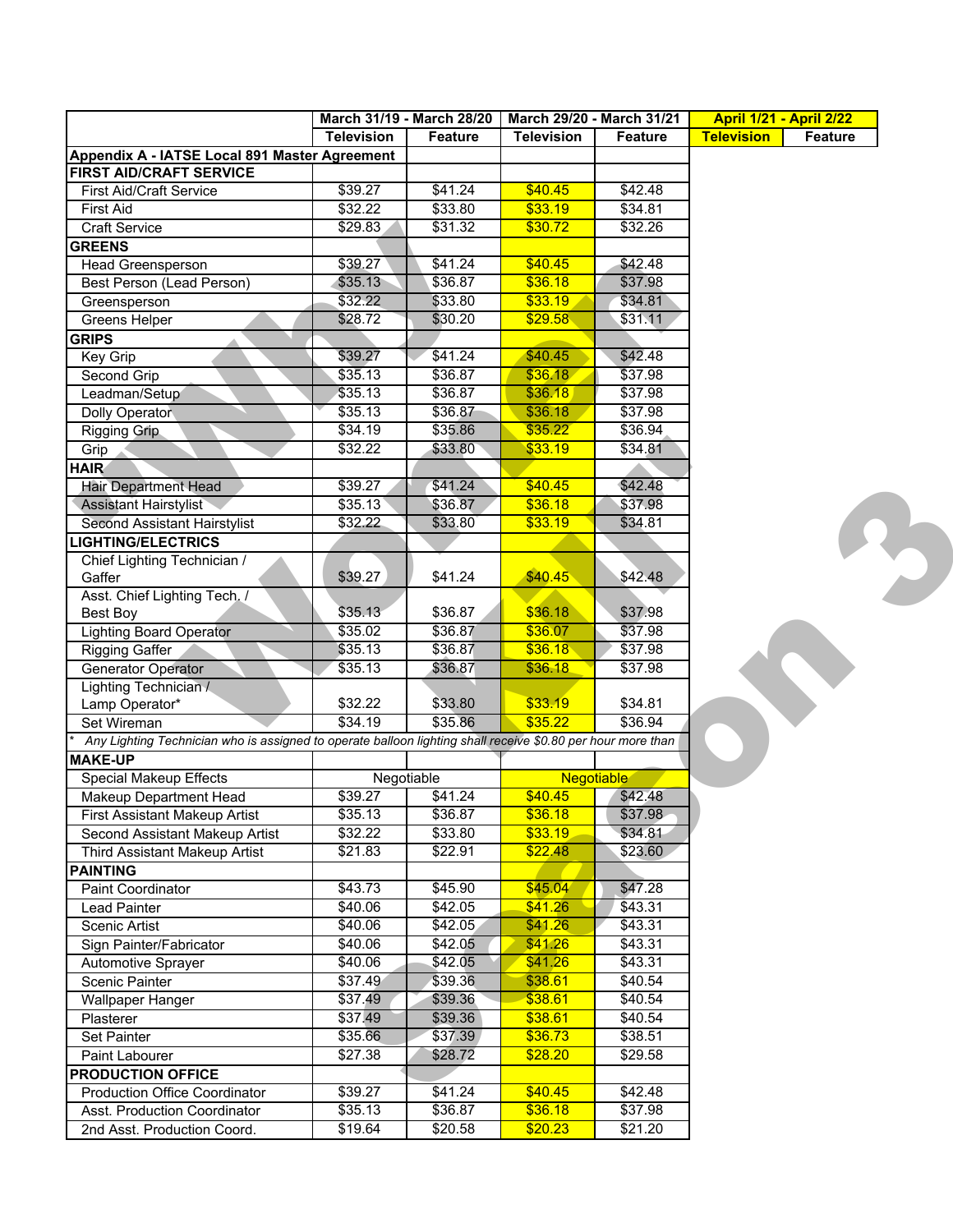|                                                                                                             |                   | March 31/19 - March 28/20 | March 29/20 - March 31/21 |                   | <b>April 1/21 - April 2/22</b> |                |
|-------------------------------------------------------------------------------------------------------------|-------------------|---------------------------|---------------------------|-------------------|--------------------------------|----------------|
|                                                                                                             | <b>Television</b> | <b>Feature</b>            | <b>Television</b>         | <b>Feature</b>    | <b>Television</b>              | <b>Feature</b> |
| Appendix A - IATSE Local 891 Master Agreement                                                               |                   |                           |                           |                   |                                |                |
| <b>FIRST AID/CRAFT SERVICE</b>                                                                              |                   |                           |                           |                   |                                |                |
| <b>First Aid/Craft Service</b>                                                                              | \$39.27           | \$41.24                   | \$40.45                   | \$42.48           |                                |                |
| <b>First Aid</b>                                                                                            | \$32.22           | \$33.80                   | \$33.19                   | \$34.81           |                                |                |
| <b>Craft Service</b>                                                                                        | \$29.83           | \$31.32                   | \$30.72                   | \$32.26           |                                |                |
| <b>GREENS</b>                                                                                               |                   |                           |                           |                   |                                |                |
| <b>Head Greensperson</b>                                                                                    | \$39.27           | \$41.24                   | \$40.45                   | \$42.48           |                                |                |
| Best Person (Lead Person)                                                                                   | \$35.13           | \$36.87                   | \$36.18                   | \$37.98           |                                |                |
| Greensperson                                                                                                | \$32.22           | \$33.80                   | \$33.19                   | \$34.81           |                                |                |
| <b>Greens Helper</b>                                                                                        | \$28.72           | \$30.20                   | \$29.58                   | \$31.11           |                                |                |
| <b>GRIPS</b>                                                                                                |                   |                           |                           |                   |                                |                |
| Key Grip                                                                                                    | \$39.27           | \$41.24                   | \$40.45                   | \$42.48           |                                |                |
| Second Grip                                                                                                 | \$35.13           | \$36.87                   | \$36.18                   | \$37.98           |                                |                |
| Leadman/Setup                                                                                               | \$35.13           | \$36.87                   | \$36.18                   | \$37.98           |                                |                |
| Dolly Operator                                                                                              | \$35.13           | \$36.87                   | \$36.18                   | \$37.98           |                                |                |
| Rigging Grip                                                                                                | \$34.19           | \$35.86                   | \$35.22                   | \$36.94           |                                |                |
| Grip                                                                                                        | \$32.22           | \$33.80                   | \$33.19                   | \$34.81           |                                |                |
| <b>HAIR</b>                                                                                                 |                   |                           |                           |                   |                                |                |
| <b>Hair Department Head</b>                                                                                 | \$39.27           | \$41.24                   | \$40.45                   | \$42.48           |                                |                |
| <b>Assistant Hairstylist</b>                                                                                | \$35.13           | \$36.87                   | \$36.18                   | \$37.98           |                                |                |
| Second Assistant Hairstylist                                                                                | \$32.22           | \$33.80                   | \$33.19                   | \$34.81           |                                |                |
| <b>LIGHTING/ELECTRICS</b>                                                                                   |                   |                           |                           |                   |                                |                |
| Chief Lighting Technician /                                                                                 |                   |                           |                           |                   |                                |                |
| Gaffer                                                                                                      | \$39.27           | \$41.24                   | \$40.45                   | \$42.48           |                                |                |
| Asst. Chief Lighting Tech. /                                                                                |                   |                           |                           |                   |                                |                |
| Best Boy                                                                                                    | \$35.13           | \$36.87                   | \$36.18                   | \$37.98           |                                |                |
| <b>Lighting Board Operator</b>                                                                              | \$35.02           | \$36.87                   | \$36.07                   | \$37.98           |                                |                |
| <b>Rigging Gaffer</b>                                                                                       | \$35.13           | \$36.87                   | \$36.18                   | \$37.98           |                                |                |
| <b>Generator Operator</b>                                                                                   | \$35.13           | \$36.87                   | \$36.18                   | \$37.98           |                                |                |
| Lighting Technician /                                                                                       |                   |                           |                           |                   |                                |                |
| Lamp Operator*                                                                                              | \$32.22           | \$33.80                   | \$33.19                   | \$34.81           |                                |                |
| Set Wireman                                                                                                 | \$34.19           | \$35.86                   | \$35.22                   | \$36.94           |                                |                |
| Any Lighting Technician who is assigned to operate balloon lighting shall receive \$0.80 per hour more than |                   |                           |                           |                   |                                |                |
| <b>MAKE-UP</b>                                                                                              |                   |                           |                           |                   |                                |                |
| <b>Special Makeup Effects</b>                                                                               |                   | Negotiable                |                           | <b>Negotiable</b> |                                |                |
| <b>Makeup Department Head</b>                                                                               | \$39.27           | \$41.24                   | \$40.45                   | \$42.48           |                                |                |
| <b>First Assistant Makeup Artist</b>                                                                        | \$35.13           | \$36.87                   | \$36.18                   | \$37.98           |                                |                |
| Second Assistant Makeup Artist                                                                              | \$32.22           | \$33.80                   | \$33.19                   | \$34.81           |                                |                |
| Third Assistant Makeup Artist                                                                               | \$21.83           | \$22.91                   | \$22.48                   | \$23.60           |                                |                |
| <b>PAINTING</b>                                                                                             |                   |                           |                           |                   |                                |                |
| Paint Coordinator                                                                                           | \$43.73           | \$45.90                   | \$45.04                   | \$47.28           |                                |                |
| <b>Lead Painter</b>                                                                                         | \$40.06           | \$42.05                   | \$41.26                   | \$43.31           |                                |                |
| Scenic Artist                                                                                               | \$40.06           | \$42.05                   | \$41.26                   | \$43.31           |                                |                |
| Sign Painter/Fabricator                                                                                     | \$40.06           | \$42.05                   | \$41.26                   | \$43.31           |                                |                |
| Automotive Sprayer                                                                                          | \$40.06           | \$42.05                   | \$41.26                   | \$43.31           |                                |                |
| <b>Scenic Painter</b>                                                                                       | \$37.49           | \$39.36                   | \$38.61                   | \$40.54           |                                |                |
| <b>Wallpaper Hanger</b>                                                                                     | \$37.49           | \$39.36                   | \$38.61                   | \$40.54           |                                |                |
| Plasterer                                                                                                   | \$37.49           | \$39.36                   | \$38.61                   | \$40.54           |                                |                |
| <b>Set Painter</b>                                                                                          | \$35.66           | \$37.39                   | \$36.73                   | \$38.51           |                                |                |
| Paint Labourer                                                                                              | \$27.38           | \$28.72                   | \$28.20                   | \$29.58           |                                |                |
| <b>PRODUCTION OFFICE</b>                                                                                    |                   |                           |                           |                   |                                |                |
| <b>Production Office Coordinator</b>                                                                        | \$39.27           | \$41.24                   | \$40.45                   | \$42.48           |                                |                |
| Asst. Production Coordinator                                                                                | \$35.13           | \$36.87                   | \$36.18                   | \$37.98           |                                |                |
| 2nd Asst. Production Coord.                                                                                 | \$19.64           | \$20.58                   | \$20.23                   | \$21.20           |                                |                |
|                                                                                                             |                   |                           |                           |                   |                                |                |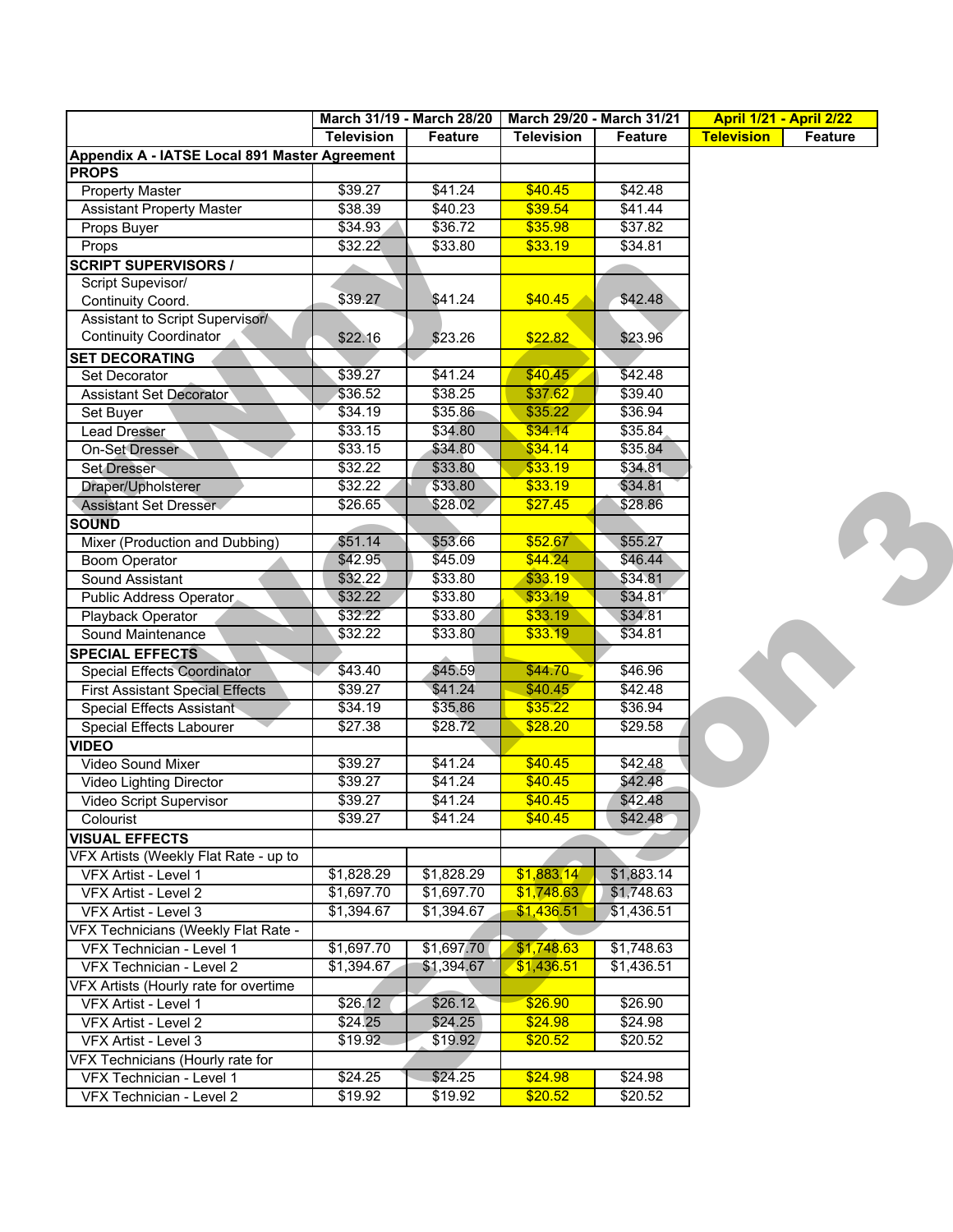|                                               |                   | March 31/19 - March 28/20 | March 29/20 - March 31/21 |            | <b>April 1/21 - April 2/22</b> |                |
|-----------------------------------------------|-------------------|---------------------------|---------------------------|------------|--------------------------------|----------------|
|                                               | <b>Television</b> | <b>Feature</b>            | <b>Television</b>         | Feature    | <b>Television</b>              | <b>Feature</b> |
| Appendix A - IATSE Local 891 Master Agreement |                   |                           |                           |            |                                |                |
| <b>PROPS</b>                                  |                   |                           |                           |            |                                |                |
| <b>Property Master</b>                        | \$39.27           | \$41.24                   | \$40.45                   | \$42.48    |                                |                |
| <b>Assistant Property Master</b>              | \$38.39           | \$40.23                   | \$39.54                   | \$41.44    |                                |                |
| Props Buyer                                   | \$34.93           | \$36.72                   | \$35.98                   | \$37.82    |                                |                |
| Props                                         | \$32.22           | \$33.80                   | \$33.19                   | \$34.81    |                                |                |
| <b>SCRIPT SUPERVISORS /</b>                   |                   |                           |                           |            |                                |                |
| Script Supevisor/                             |                   |                           |                           |            |                                |                |
| Continuity Coord.                             | \$39.27           | \$41.24                   | \$40.45                   | \$42.48    |                                |                |
| Assistant to Script Supervisor/               |                   |                           |                           |            |                                |                |
| <b>Continuity Coordinator</b>                 | \$22.16           | \$23.26                   | \$22.82                   | \$23.96    |                                |                |
| <b>SET DECORATING</b>                         |                   |                           |                           |            |                                |                |
| Set Decorator                                 | \$39.27           | \$41.24                   | \$40.45                   | \$42.48    |                                |                |
| Assistant Set Decorator                       | \$36.52           | \$38.25                   | \$37.62                   | \$39.40    |                                |                |
| Set Buyer                                     | \$34.19           | \$35.86                   | \$35.22                   | \$36.94    |                                |                |
| <b>Lead Dresser</b>                           | \$33.15           | \$34.80                   | \$34.14                   | \$35.84    |                                |                |
| On-Set Dresser                                | \$33.15           | \$34.80                   | \$34.14                   | \$35.84    |                                |                |
| Set Dresser                                   | \$32.22           | \$33.80                   | \$33.19                   | \$34.81    |                                |                |
| Draper/Upholsterer                            | \$32.22           | \$33.80                   | \$33.19                   | \$34.81    |                                |                |
| <b>Assistant Set Dresser</b>                  | \$26.65           | \$28.02                   | \$27.45                   | \$28.86    |                                |                |
| <b>SOUND</b>                                  |                   |                           |                           |            |                                |                |
| Mixer (Production and Dubbing)                | \$51.14           | \$53.66                   | \$52.67                   | \$55.27    |                                |                |
| <b>Boom Operator</b>                          | \$42.95           | \$45.09                   | \$44.24                   | \$46.44    |                                |                |
| Sound Assistant                               | \$32.22           | \$33.80                   | \$33.19                   | \$34.81    |                                |                |
| Public Address Operator                       | \$32.22           | \$33.80                   | \$33.19                   | \$34.81    |                                |                |
| Playback Operator                             | \$32.22           | \$33.80                   | \$33.19                   | \$34.81    |                                |                |
| Sound Maintenance                             | \$32.22           | \$33.80                   | \$33.19                   | \$34.81    |                                |                |
| <b>SPECIAL EFFECTS</b>                        |                   |                           |                           |            |                                |                |
| Special Effects Coordinator                   | \$43.40           | \$45.59                   | \$44.70                   | \$46.96    |                                |                |
| <b>First Assistant Special Effects</b>        | \$39.27           | \$41.24                   | \$40.45                   | \$42.48    |                                |                |
| Special Effects Assistant                     | \$34.19           | \$35.86                   | \$35.22                   | \$36.94    |                                |                |
| Special Effects Labourer                      | \$27.38           | \$28.72                   | \$28.20                   | \$29.58    |                                |                |
| <b>VIDEO</b>                                  |                   |                           |                           |            |                                |                |
| <b>Video Sound Mixer</b>                      | \$39.27           | \$41.24                   | \$40.45                   | \$42.48    |                                |                |
| Video Lighting Director                       | \$39.27           | \$41.24                   | \$40.45                   | \$42.48    |                                |                |
| Video Script Supervisor                       | \$39.27           | \$41.24                   | \$40.45                   | \$42.48    |                                |                |
| Colourist                                     | \$39.27           | \$41.24                   | \$40.45                   | \$42.48    |                                |                |
| <b>VISUAL EFFECTS</b>                         |                   |                           |                           |            |                                |                |
| VFX Artists (Weekly Flat Rate - up to         |                   |                           |                           |            |                                |                |
| VFX Artist - Level 1                          | \$1,828.29        | \$1,828.29                | \$1,883.14                | \$1,883.14 |                                |                |
| VFX Artist - Level 2                          | \$1,697.70        | \$1,697.70                | \$1,748.63                | \$1,748.63 |                                |                |
| VFX Artist - Level 3                          | \$1,394.67        | \$1,394.67                | \$1,436.51                | \$1,436.51 |                                |                |
| VFX Technicians (Weekly Flat Rate -           |                   |                           |                           |            |                                |                |
| VFX Technician - Level 1                      | \$1,697.70        | \$1,697.70                | \$1,748.63                | \$1,748.63 |                                |                |
| VFX Technician - Level 2                      | \$1,394.67        | \$1,394.67                | \$1,436.51                | \$1,436.51 |                                |                |
| VFX Artists (Hourly rate for overtime         |                   |                           |                           |            |                                |                |
| VFX Artist - Level 1                          | \$26.12           | \$26.12                   | \$26.90                   | \$26.90    |                                |                |
| VFX Artist - Level 2                          | \$24.25           | \$24.25                   | \$24.98                   | \$24.98    |                                |                |
| VFX Artist - Level 3                          | \$19.92           | \$19.92                   | \$20.52                   | \$20.52    |                                |                |
| VFX Technicians (Hourly rate for              |                   |                           |                           |            |                                |                |
| VFX Technician - Level 1                      | \$24.25           | \$24.25                   | \$24.98                   | \$24.98    |                                |                |
| VFX Technician - Level 2                      | \$19.92           | \$19.92                   | \$20.52                   | \$20.52    |                                |                |